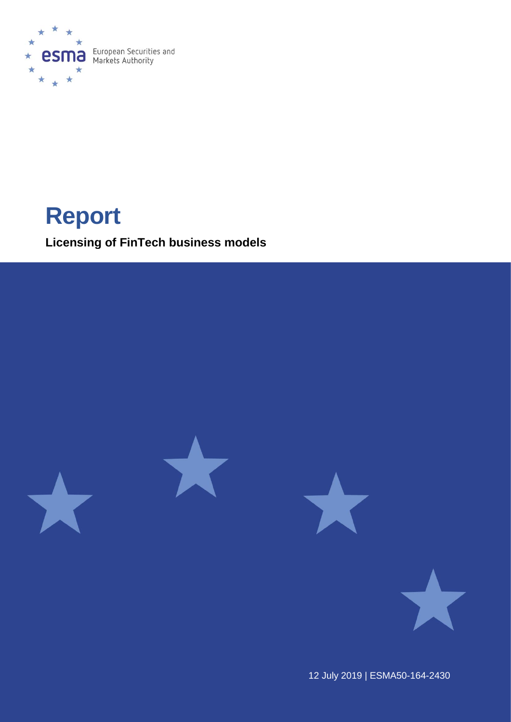

# **Report**

**Licensing of FinTech business models**



12 July 2019 | ESMA50-164-2430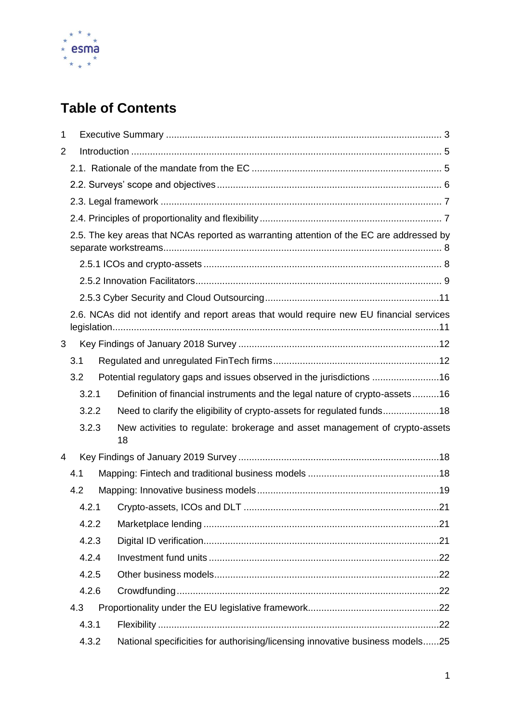

# **Table of Contents**

| 1 |       |                                                                                          |  |  |
|---|-------|------------------------------------------------------------------------------------------|--|--|
| 2 |       |                                                                                          |  |  |
|   |       |                                                                                          |  |  |
|   |       |                                                                                          |  |  |
|   |       |                                                                                          |  |  |
|   |       |                                                                                          |  |  |
|   |       | 2.5. The key areas that NCAs reported as warranting attention of the EC are addressed by |  |  |
|   |       |                                                                                          |  |  |
|   |       |                                                                                          |  |  |
|   |       |                                                                                          |  |  |
|   |       | 2.6. NCAs did not identify and report areas that would require new EU financial services |  |  |
| 3 |       |                                                                                          |  |  |
|   | 3.1   |                                                                                          |  |  |
|   | 3.2   | Potential regulatory gaps and issues observed in the jurisdictions 16                    |  |  |
|   | 3.2.1 | Definition of financial instruments and the legal nature of crypto-assets16              |  |  |
|   | 3.2.2 | Need to clarify the eligibility of crypto-assets for regulated funds18                   |  |  |
|   | 3.2.3 | New activities to regulate: brokerage and asset management of crypto-assets<br>18        |  |  |
| 4 |       |                                                                                          |  |  |
|   | 4.1   |                                                                                          |  |  |
|   | 4.2   |                                                                                          |  |  |
|   | 4.2.1 |                                                                                          |  |  |
|   | 4.2.2 |                                                                                          |  |  |
|   | 4.2.3 |                                                                                          |  |  |
|   | 4.2.4 |                                                                                          |  |  |
|   | 4.2.5 |                                                                                          |  |  |
|   | 4.2.6 |                                                                                          |  |  |
|   | 4.3   |                                                                                          |  |  |
|   | 4.3.1 |                                                                                          |  |  |
|   | 4.3.2 | National specificities for authorising/licensing innovative business models25            |  |  |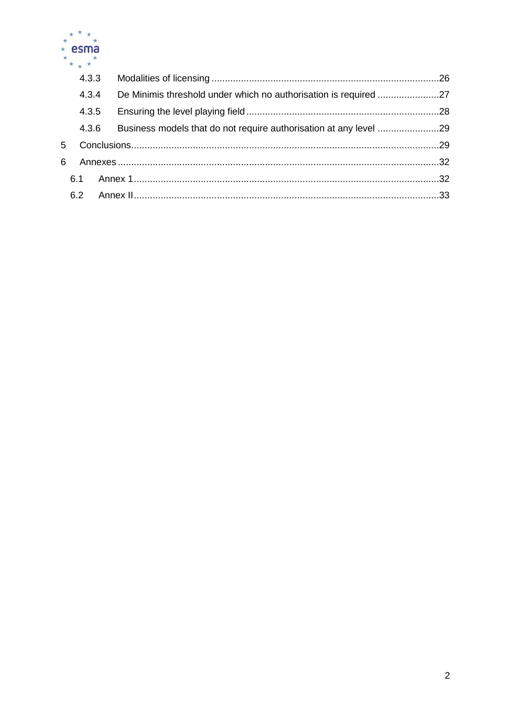

| 6   |  |                                  |
|-----|--|----------------------------------|
| 6.1 |  |                                  |
| 6.2 |  |                                  |
|     |  | 4.3.3<br>4.3.4<br>4.3.5<br>4.3.6 |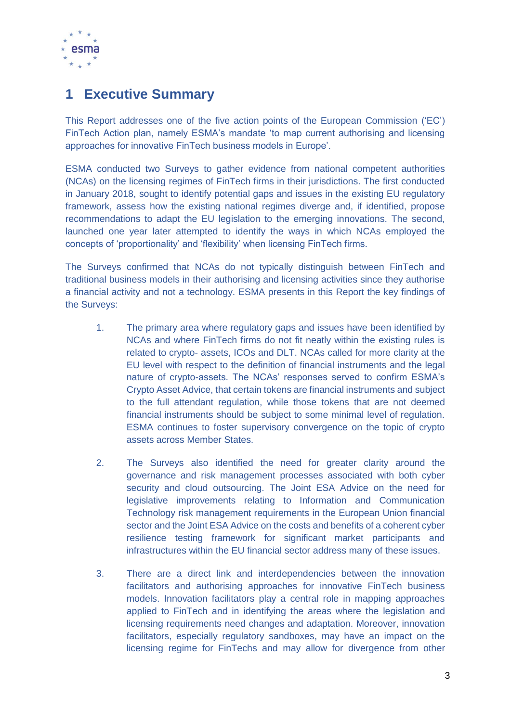

# <span id="page-3-0"></span>**1 Executive Summary**

This Report addresses one of the five action points of the European Commission ('EC') FinTech Action plan, namely ESMA's mandate 'to map current authorising and licensing approaches for innovative FinTech business models in Europe'.

ESMA conducted two Surveys to gather evidence from national competent authorities (NCAs) on the licensing regimes of FinTech firms in their jurisdictions. The first conducted in January 2018, sought to identify potential gaps and issues in the existing EU regulatory framework, assess how the existing national regimes diverge and, if identified, propose recommendations to adapt the EU legislation to the emerging innovations. The second, launched one year later attempted to identify the ways in which NCAs employed the concepts of 'proportionality' and 'flexibility' when licensing FinTech firms.

The Surveys confirmed that NCAs do not typically distinguish between FinTech and traditional business models in their authorising and licensing activities since they authorise a financial activity and not a technology. ESMA presents in this Report the key findings of the Surveys:

- 1. The primary area where regulatory gaps and issues have been identified by NCAs and where FinTech firms do not fit neatly within the existing rules is related to crypto- assets, ICOs and DLT. NCAs called for more clarity at the EU level with respect to the definition of financial instruments and the legal nature of crypto-assets. The NCAs' responses served to confirm ESMA's Crypto Asset Advice, that certain tokens are financial instruments and subject to the full attendant regulation, while those tokens that are not deemed financial instruments should be subject to some minimal level of regulation. ESMA continues to foster supervisory convergence on the topic of crypto assets across Member States.
- 2. The Surveys also identified the need for greater clarity around the governance and risk management processes associated with both cyber security and cloud outsourcing. The Joint ESA Advice on the need for legislative improvements relating to Information and Communication Technology risk management requirements in the European Union financial sector and the Joint ESA Advice on the costs and benefits of a coherent cyber resilience testing framework for significant market participants and infrastructures within the EU financial sector address many of these issues.
- 3. There are a direct link and interdependencies between the innovation facilitators and authorising approaches for innovative FinTech business models. Innovation facilitators play a central role in mapping approaches applied to FinTech and in identifying the areas where the legislation and licensing requirements need changes and adaptation. Moreover, innovation facilitators, especially regulatory sandboxes, may have an impact on the licensing regime for FinTechs and may allow for divergence from other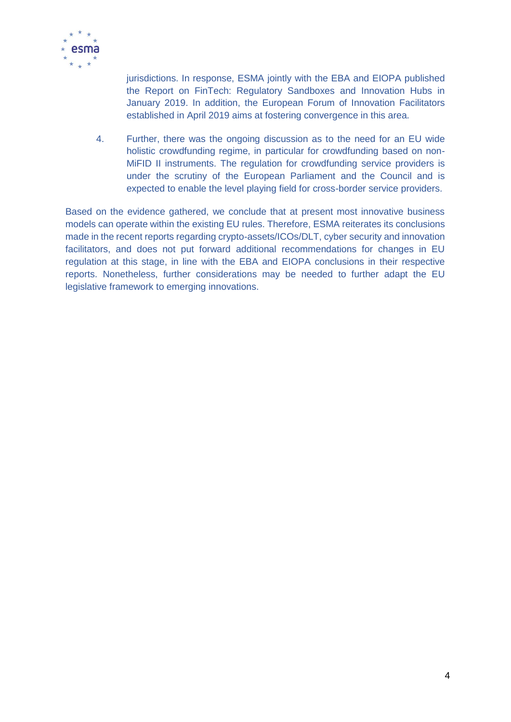

jurisdictions. In response, ESMA jointly with the EBA and EIOPA published the Report on FinTech: Regulatory Sandboxes and Innovation Hubs in January 2019. In addition, the European Forum of Innovation Facilitators established in April 2019 aims at fostering convergence in this area.

4. Further, there was the ongoing discussion as to the need for an EU wide holistic crowdfunding regime, in particular for crowdfunding based on non-MiFID II instruments. The regulation for crowdfunding service providers is under the scrutiny of the European Parliament and the Council and is expected to enable the level playing field for cross-border service providers.

Based on the evidence gathered, we conclude that at present most innovative business models can operate within the existing EU rules. Therefore, ESMA reiterates its conclusions made in the recent reports regarding crypto-assets/ICOs/DLT, cyber security and innovation facilitators, and does not put forward additional recommendations for changes in EU regulation at this stage, in line with the EBA and EIOPA conclusions in their respective reports. Nonetheless, further considerations may be needed to further adapt the EU legislative framework to emerging innovations.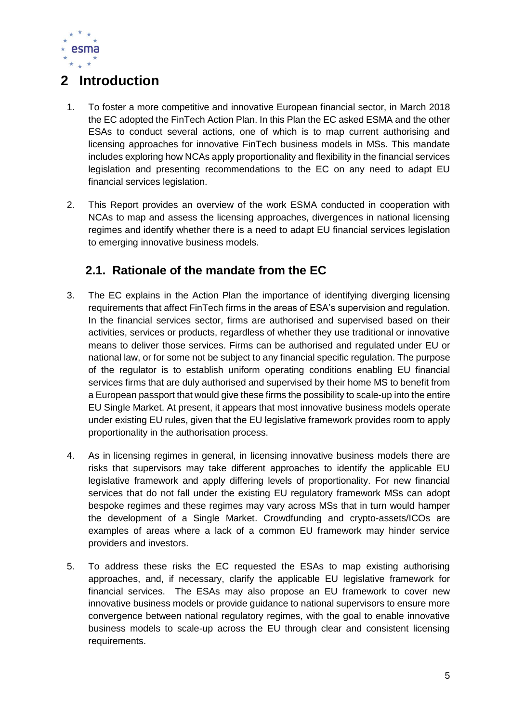

# <span id="page-5-0"></span>**2 Introduction**

- 1. To foster a more competitive and innovative European financial sector, in March 2018 the EC adopted the FinTech Action Plan. In this Plan the EC asked ESMA and the other ESAs to conduct several actions, one of which is to map current authorising and licensing approaches for innovative FinTech business models in MSs. This mandate includes exploring how NCAs apply proportionality and flexibility in the financial services legislation and presenting recommendations to the EC on any need to adapt EU financial services legislation.
- 2. This Report provides an overview of the work ESMA conducted in cooperation with NCAs to map and assess the licensing approaches, divergences in national licensing regimes and identify whether there is a need to adapt EU financial services legislation to emerging innovative business models.

## <span id="page-5-1"></span>**2.1. Rationale of the mandate from the EC**

- 3. The EC explains in the Action Plan the importance of identifying diverging licensing requirements that affect FinTech firms in the areas of ESA's supervision and regulation. In the financial services sector, firms are authorised and supervised based on their activities, services or products, regardless of whether they use traditional or innovative means to deliver those services. Firms can be authorised and regulated under EU or national law, or for some not be subject to any financial specific regulation. The purpose of the regulator is to establish uniform operating conditions enabling EU financial services firms that are duly authorised and supervised by their home MS to benefit from a European passport that would give these firms the possibility to scale-up into the entire EU Single Market. At present, it appears that most innovative business models operate under existing EU rules, given that the EU legislative framework provides room to apply proportionality in the authorisation process.
- 4. As in licensing regimes in general, in licensing innovative business models there are risks that supervisors may take different approaches to identify the applicable EU legislative framework and apply differing levels of proportionality. For new financial services that do not fall under the existing EU regulatory framework MSs can adopt bespoke regimes and these regimes may vary across MSs that in turn would hamper the development of a Single Market. Crowdfunding and crypto-assets/ICOs are examples of areas where a lack of a common EU framework may hinder service providers and investors.
- 5. To address these risks the EC requested the ESAs to map existing authorising approaches, and, if necessary, clarify the applicable EU legislative framework for financial services. The ESAs may also propose an EU framework to cover new innovative business models or provide guidance to national supervisors to ensure more convergence between national regulatory regimes, with the goal to enable innovative business models to scale-up across the EU through clear and consistent licensing requirements.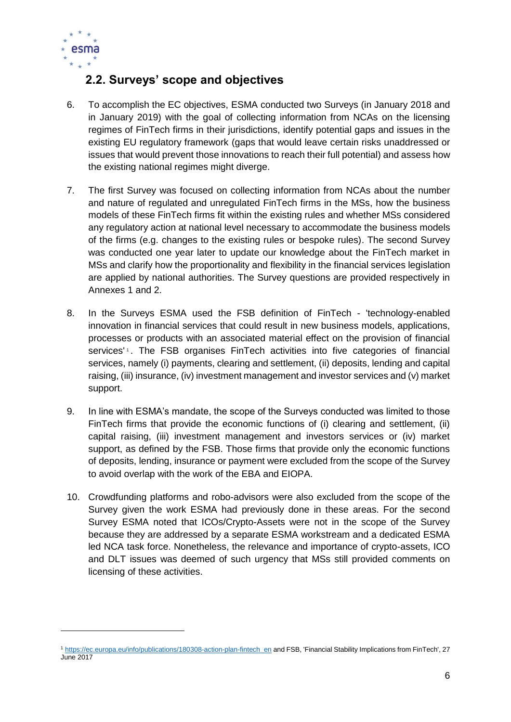

-

## <span id="page-6-0"></span>**2.2. Surveys' scope and objectives**

- 6. To accomplish the EC objectives, ESMA conducted two Surveys (in January 2018 and in January 2019) with the goal of collecting information from NCAs on the licensing regimes of FinTech firms in their jurisdictions, identify potential gaps and issues in the existing EU regulatory framework (gaps that would leave certain risks unaddressed or issues that would prevent those innovations to reach their full potential) and assess how the existing national regimes might diverge.
- 7. The first Survey was focused on collecting information from NCAs about the number and nature of regulated and unregulated FinTech firms in the MSs, how the business models of these FinTech firms fit within the existing rules and whether MSs considered any regulatory action at national level necessary to accommodate the business models of the firms (e.g. changes to the existing rules or bespoke rules). The second Survey was conducted one year later to update our knowledge about the FinTech market in MSs and clarify how the proportionality and flexibility in the financial services legislation are applied by national authorities. The Survey questions are provided respectively in Annexes 1 and 2.
- 8. In the Surveys ESMA used the FSB definition of FinTech 'technology-enabled innovation in financial services that could result in new business models, applications, processes or products with an associated material effect on the provision of financial services'<sup>1</sup>. The FSB organises FinTech activities into five categories of financial services, namely (i) payments, clearing and settlement, (ii) deposits, lending and capital raising, (iii) insurance, (iv) investment management and investor services and (v) market support.
- 9. In line with ESMA's mandate, the scope of the Surveys conducted was limited to those FinTech firms that provide the economic functions of (i) clearing and settlement, (ii) capital raising, (iii) investment management and investors services or (iv) market support, as defined by the FSB. Those firms that provide only the economic functions of deposits, lending, insurance or payment were excluded from the scope of the Survey to avoid overlap with the work of the EBA and EIOPA.
- 10. Crowdfunding platforms and robo-advisors were also excluded from the scope of the Survey given the work ESMA had previously done in these areas. For the second Survey ESMA noted that ICOs/Crypto-Assets were not in the scope of the Survey because they are addressed by a separate ESMA workstream and a dedicated ESMA led NCA task force. Nonetheless, the relevance and importance of crypto-assets, ICO and DLT issues was deemed of such urgency that MSs still provided comments on licensing of these activities.

<sup>&</sup>lt;sup>1</sup> [https://ec.europa.eu/info/publications/180308-action-plan-fintech\\_en](https://ec.europa.eu/info/publications/180308-action-plan-fintech_en) and FSB, 'Financial Stability Implications from FinTech', 27 June 2017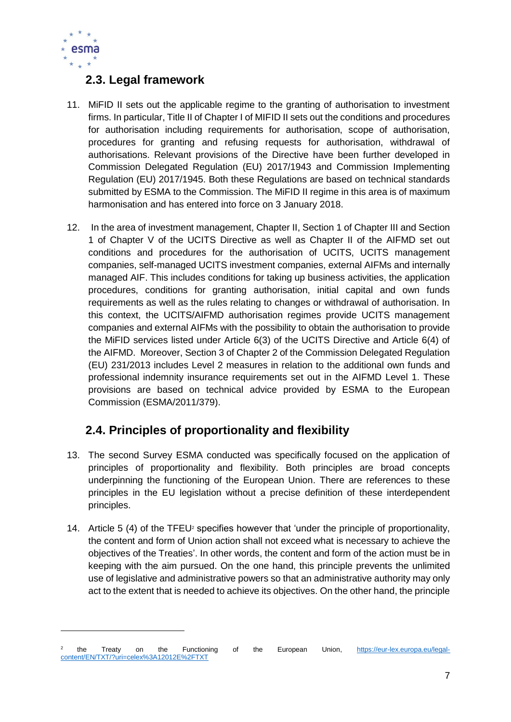

-

## <span id="page-7-0"></span>**2.3. Legal framework**

- 11. MiFID II sets out the applicable regime to the granting of authorisation to investment firms. In particular, Title II of Chapter I of MIFID II sets out the conditions and procedures for authorisation including requirements for authorisation, scope of authorisation, procedures for granting and refusing requests for authorisation, withdrawal of authorisations. Relevant provisions of the Directive have been further developed in Commission Delegated Regulation (EU) 2017/1943 and Commission Implementing Regulation (EU) 2017/1945. Both these Regulations are based on technical standards submitted by ESMA to the Commission. The MiFID II regime in this area is of maximum harmonisation and has entered into force on 3 January 2018.
- 12. In the area of investment management, Chapter II, Section 1 of Chapter III and Section 1 of Chapter V of the UCITS Directive as well as Chapter II of the AIFMD set out conditions and procedures for the authorisation of UCITS, UCITS management companies, self-managed UCITS investment companies, external AIFMs and internally managed AIF. This includes conditions for taking up business activities, the application procedures, conditions for granting authorisation, initial capital and own funds requirements as well as the rules relating to changes or withdrawal of authorisation. In this context, the UCITS/AIFMD authorisation regimes provide UCITS management companies and external AIFMs with the possibility to obtain the authorisation to provide the MiFID services listed under Article 6(3) of the UCITS Directive and Article 6(4) of the AIFMD. Moreover, Section 3 of Chapter 2 of the Commission Delegated Regulation (EU) 231/2013 includes Level 2 measures in relation to the additional own funds and professional indemnity insurance requirements set out in the AIFMD Level 1. These provisions are based on technical advice provided by ESMA to the European Commission (ESMA/2011/379).

## <span id="page-7-1"></span>**2.4. Principles of proportionality and flexibility**

- 13. The second Survey ESMA conducted was specifically focused on the application of principles of proportionality and flexibility. Both principles are broad concepts underpinning the functioning of the European Union. There are references to these principles in the EU legislation without a precise definition of these interdependent principles.
- 14. Article 5 (4) of the TFEU<sup>2</sup> specifies however that 'under the principle of proportionality, the content and form of Union action shall not exceed what is necessary to achieve the objectives of the Treaties'. In other words, the content and form of the action must be in keeping with the aim pursued. On the one hand, this principle prevents the unlimited use of legislative and administrative powers so that an administrative authority may only act to the extent that is needed to achieve its objectives. On the other hand, the principle

<sup>2</sup> the Treaty on the Functioning of the European Union, [https://eur-lex.europa.eu/legal](https://eur-lex.europa.eu/legal-content/EN/TXT/?uri=celex%3A12012E%2FTXT)[content/EN/TXT/?uri=celex%3A12012E%2FTXT](https://eur-lex.europa.eu/legal-content/EN/TXT/?uri=celex%3A12012E%2FTXT)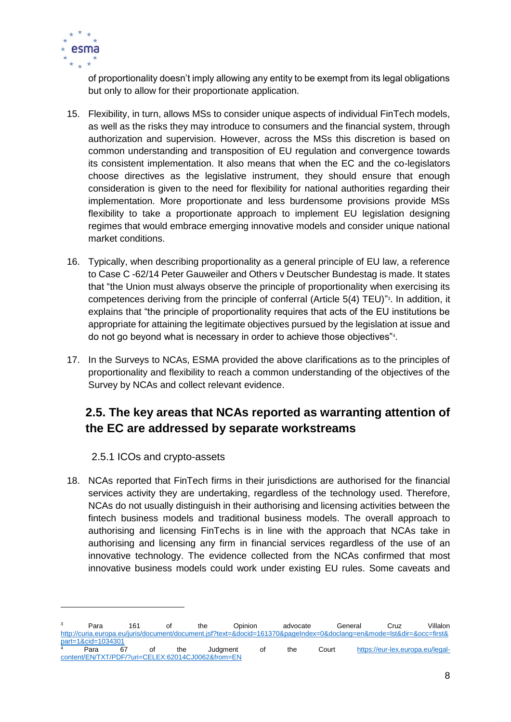

of proportionality doesn't imply allowing any entity to be exempt from its legal obligations but only to allow for their proportionate application.

- 15. Flexibility, in turn, allows MSs to consider unique aspects of individual FinTech models, as well as the risks they may introduce to consumers and the financial system, through authorization and supervision. However, across the MSs this discretion is based on common understanding and transposition of EU regulation and convergence towards its consistent implementation. It also means that when the EC and the co-legislators choose directives as the legislative instrument, they should ensure that enough consideration is given to the need for flexibility for national authorities regarding their implementation. More proportionate and less burdensome provisions provide MSs flexibility to take a proportionate approach to implement EU legislation designing regimes that would embrace emerging innovative models and consider unique national market conditions.
- 16. Typically, when describing proportionality as a general principle of EU law, a reference to Case C -62/14 Peter Gauweiler and Others v Deutscher Bundestag is made. It states that "the Union must always observe the principle of proportionality when exercising its competences deriving from the principle of conferral (Article 5(4) TEU)" 3 . In addition, it explains that "the principle of proportionality requires that acts of the EU institutions be appropriate for attaining the legitimate objectives pursued by the legislation at issue and do not go beyond what is necessary in order to achieve those objectives"<sup>4</sup> .
- 17. In the Surveys to NCAs, ESMA provided the above clarifications as to the principles of proportionality and flexibility to reach a common understanding of the objectives of the Survey by NCAs and collect relevant evidence.

## <span id="page-8-0"></span>**2.5. The key areas that NCAs reported as warranting attention of the EC are addressed by separate workstreams**

#### 2.5.1 ICOs and crypto-assets

1

<span id="page-8-1"></span>18. NCAs reported that FinTech firms in their jurisdictions are authorised for the financial services activity they are undertaking, regardless of the technology used. Therefore, NCAs do not usually distinguish in their authorising and licensing activities between the fintech business models and traditional business models. The overall approach to authorising and licensing FinTechs is in line with the approach that NCAs take in authorising and licensing any firm in financial services regardless of the use of an innovative technology. The evidence collected from the NCAs confirmed that most innovative business models could work under existing EU rules. Some caveats and

<sup>&</sup>lt;sup>3</sup> Para 161 of the Opinion advocate General Cruz Villalon [http://curia.europa.eu/juris/document/document.jsf?text=&docid=161370&pageIndex=0&doclang=en&mode=lst&dir=&occ=first&](http://curia.europa.eu/juris/document/document.jsf?text=&docid=161370&pageIndex=0&doclang=en&mode=lst&dir=&occ=first&part=1&cid=1034301) [part=1&cid=1034301](http://curia.europa.eu/juris/document/document.jsf?text=&docid=161370&pageIndex=0&doclang=en&mode=lst&dir=&occ=first&part=1&cid=1034301) Para 67 of the Judgment of the Court [https://eur-lex.europa.eu/legal](https://eur-lex.europa.eu/legal-content/EN/TXT/PDF/?uri=CELEX:62014CJ0062&from=EN)[content/EN/TXT/PDF/?uri=CELEX:62014CJ0062&from=EN](https://eur-lex.europa.eu/legal-content/EN/TXT/PDF/?uri=CELEX:62014CJ0062&from=EN)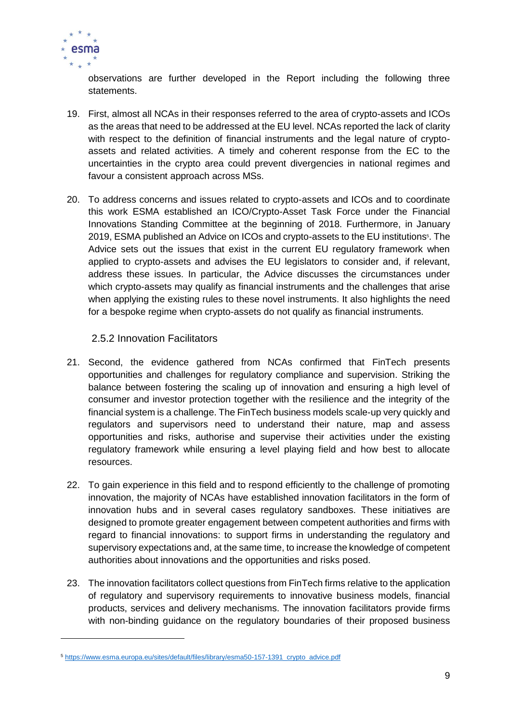

1

observations are further developed in the Report including the following three statements.

- 19. First, almost all NCAs in their responses referred to the area of crypto-assets and ICOs as the areas that need to be addressed at the EU level. NCAs reported the lack of clarity with respect to the definition of financial instruments and the legal nature of cryptoassets and related activities. A timely and coherent response from the EC to the uncertainties in the crypto area could prevent divergencies in national regimes and favour a consistent approach across MSs.
- 20. To address concerns and issues related to crypto-assets and ICOs and to coordinate this work ESMA established an ICO/Crypto-Asset Task Force under the Financial Innovations Standing Committee at the beginning of 2018. Furthermore, in January 2019, ESMA published an Advice on ICOs and crypto-assets to the EU institutions<sup>5</sup>. The Advice sets out the issues that exist in the current EU regulatory framework when applied to crypto-assets and advises the EU legislators to consider and, if relevant, address these issues. In particular, the Advice discusses the circumstances under which crypto-assets may qualify as financial instruments and the challenges that arise when applying the existing rules to these novel instruments. It also highlights the need for a bespoke regime when crypto-assets do not qualify as financial instruments.

#### 2.5.2 Innovation Facilitators

- <span id="page-9-0"></span>21. Second, the evidence gathered from NCAs confirmed that FinTech presents opportunities and challenges for regulatory compliance and supervision. Striking the balance between fostering the scaling up of innovation and ensuring a high level of consumer and investor protection together with the resilience and the integrity of the financial system is a challenge. The FinTech business models scale-up very quickly and regulators and supervisors need to understand their nature, map and assess opportunities and risks, authorise and supervise their activities under the existing regulatory framework while ensuring a level playing field and how best to allocate resources.
- 22. To gain experience in this field and to respond efficiently to the challenge of promoting innovation, the majority of NCAs have established innovation facilitators in the form of innovation hubs and in several cases regulatory sandboxes. These initiatives are designed to promote greater engagement between competent authorities and firms with regard to financial innovations: to support firms in understanding the regulatory and supervisory expectations and, at the same time, to increase the knowledge of competent authorities about innovations and the opportunities and risks posed.
- 23. The innovation facilitators collect questions from FinTech firms relative to the application of regulatory and supervisory requirements to innovative business models, financial products, services and delivery mechanisms. The innovation facilitators provide firms with non-binding guidance on the regulatory boundaries of their proposed business

<sup>5</sup> [https://www.esma.europa.eu/sites/default/files/library/esma50-157-1391\\_crypto\\_advice.pdf](https://www.esma.europa.eu/sites/default/files/library/esma50-157-1391_crypto_advice.pdf)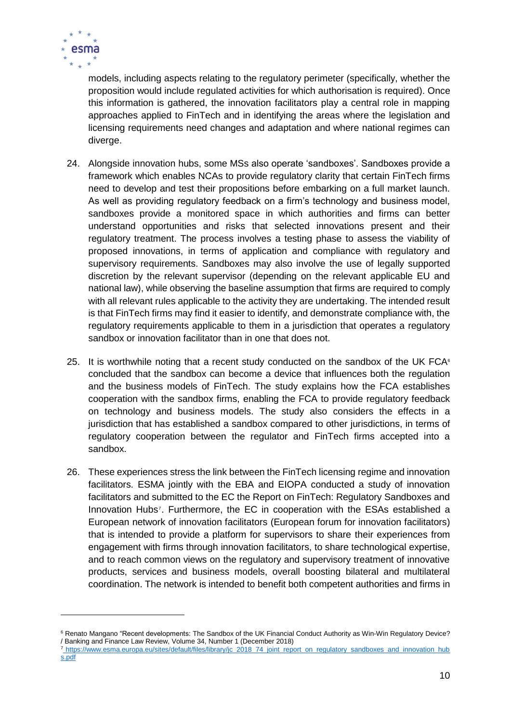

-

models, including aspects relating to the regulatory perimeter (specifically, whether the proposition would include regulated activities for which authorisation is required). Once this information is gathered, the innovation facilitators play a central role in mapping approaches applied to FinTech and in identifying the areas where the legislation and licensing requirements need changes and adaptation and where national regimes can diverge.

- 24. Alongside innovation hubs, some MSs also operate 'sandboxes'. Sandboxes provide a framework which enables NCAs to provide regulatory clarity that certain FinTech firms need to develop and test their propositions before embarking on a full market launch. As well as providing regulatory feedback on a firm's technology and business model, sandboxes provide a monitored space in which authorities and firms can better understand opportunities and risks that selected innovations present and their regulatory treatment. The process involves a testing phase to assess the viability of proposed innovations, in terms of application and compliance with regulatory and supervisory requirements. Sandboxes may also involve the use of legally supported discretion by the relevant supervisor (depending on the relevant applicable EU and national law), while observing the baseline assumption that firms are required to comply with all relevant rules applicable to the activity they are undertaking. The intended result is that FinTech firms may find it easier to identify, and demonstrate compliance with, the regulatory requirements applicable to them in a jurisdiction that operates a regulatory sandbox or innovation facilitator than in one that does not.
- 25. It is worthwhile noting that a recent study conducted on the sandbox of the UK FCA $\epsilon$ concluded that the sandbox can become a device that influences both the regulation and the business models of FinTech. The study explains how the FCA establishes cooperation with the sandbox firms, enabling the FCA to provide regulatory feedback on technology and business models. The study also considers the effects in a jurisdiction that has established a sandbox compared to other jurisdictions, in terms of regulatory cooperation between the regulator and FinTech firms accepted into a sandbox.
- 26. These experiences stress the link between the FinTech licensing regime and innovation facilitators. ESMA jointly with the EBA and EIOPA conducted a study of innovation facilitators and submitted to the EC the Report on FinTech: Regulatory Sandboxes and Innovation Hubs<sup>7</sup>. Furthermore, the EC in cooperation with the ESAs established a European network of innovation facilitators (European forum for innovation facilitators) that is intended to provide a platform for supervisors to share their experiences from engagement with firms through innovation facilitators, to share technological expertise, and to reach common views on the regulatory and supervisory treatment of innovative products, services and business models, overall boosting bilateral and multilateral coordination. The network is intended to benefit both competent authorities and firms in

<sup>&</sup>lt;sup>6</sup> Renato Mangano "Recent developments: The Sandbox of the UK Financial Conduct Authority as Win-Win Regulatory Device? / Banking and Finance Law Review, Volume 34, Number 1 (December 2018)

<sup>&</sup>lt;sup>7</sup> [https://www.esma.europa.eu/sites/default/files/library/jc\\_2018\\_74\\_joint\\_report\\_on\\_regulatory\\_sandboxes\\_and\\_innovation\\_hub](https://www.esma.europa.eu/sites/default/files/library/jc_2018_74_joint_report_on_regulatory_sandboxes_and_innovation_hubs.pdf) [s.pdf](https://www.esma.europa.eu/sites/default/files/library/jc_2018_74_joint_report_on_regulatory_sandboxes_and_innovation_hubs.pdf)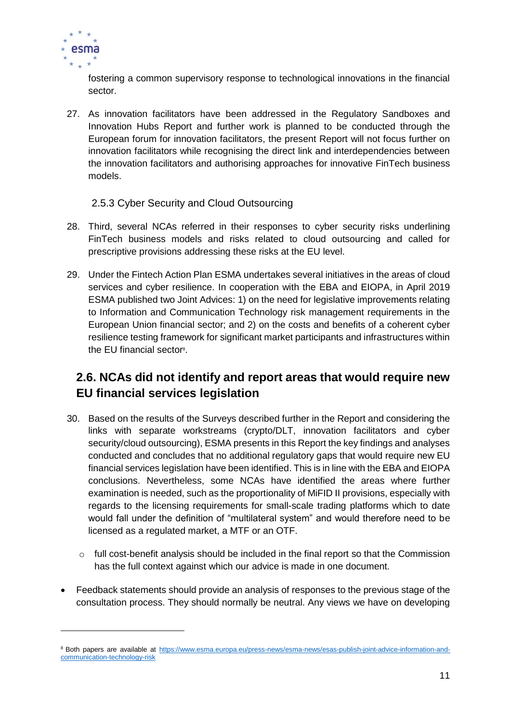

-

fostering a common supervisory response to technological innovations in the financial sector.

27. As innovation facilitators have been addressed in the Regulatory Sandboxes and Innovation Hubs Report and further work is planned to be conducted through the European forum for innovation facilitators, the present Report will not focus further on innovation facilitators while recognising the direct link and interdependencies between the innovation facilitators and authorising approaches for innovative FinTech business models.

#### 2.5.3 Cyber Security and Cloud Outsourcing

- <span id="page-11-0"></span>28. Third, several NCAs referred in their responses to cyber security risks underlining FinTech business models and risks related to cloud outsourcing and called for prescriptive provisions addressing these risks at the EU level.
- 29. Under the Fintech Action Plan ESMA undertakes several initiatives in the areas of cloud services and cyber resilience. In cooperation with the EBA and EIOPA, in April 2019 ESMA published two Joint Advices: 1) on the need for legislative improvements relating to Information and Communication Technology risk management requirements in the European Union financial sector; and 2) on the costs and benefits of a coherent cyber resilience testing framework for significant market participants and infrastructures within the EU financial sector<sup>®</sup>.

## <span id="page-11-1"></span>**2.6. NCAs did not identify and report areas that would require new EU financial services legislation**

- 30. Based on the results of the Surveys described further in the Report and considering the links with separate workstreams (crypto/DLT, innovation facilitators and cyber security/cloud outsourcing), ESMA presents in this Report the key findings and analyses conducted and concludes that no additional regulatory gaps that would require new EU financial services legislation have been identified. This is in line with the EBA and EIOPA conclusions. Nevertheless, some NCAs have identified the areas where further examination is needed, such as the proportionality of MiFID II provisions, especially with regards to the licensing requirements for small-scale trading platforms which to date would fall under the definition of "multilateral system" and would therefore need to be licensed as a regulated market, a MTF or an OTF.
	- $\circ$  full cost-benefit analysis should be included in the final report so that the Commission has the full context against which our advice is made in one document.
- Feedback statements should provide an analysis of responses to the previous stage of the consultation process. They should normally be neutral. Any views we have on developing

<sup>&</sup>lt;sup>8</sup> Both papers are available at [https://www.esma.europa.eu/press-news/esma-news/esas-publish-joint-advice-information-and](https://www.esma.europa.eu/press-news/esma-news/esas-publish-joint-advice-information-and-communication-technology-risk)[communication-technology-risk](https://www.esma.europa.eu/press-news/esma-news/esas-publish-joint-advice-information-and-communication-technology-risk)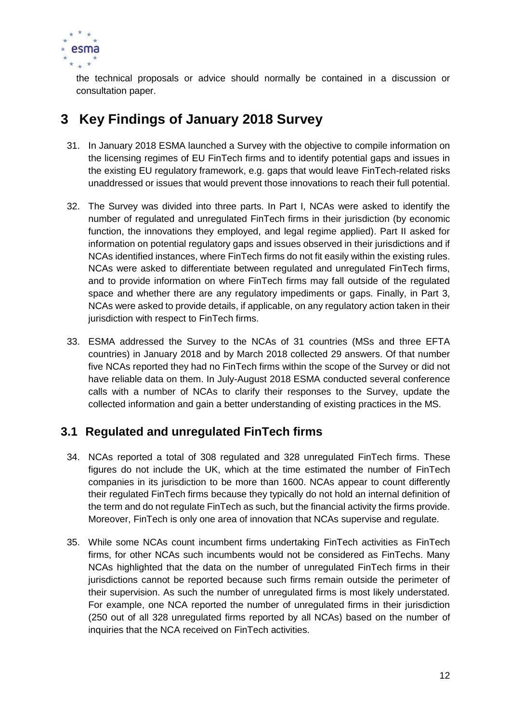

the technical proposals or advice should normally be contained in a discussion or consultation paper.

# <span id="page-12-0"></span>**3 Key Findings of January 2018 Survey**

- 31. In January 2018 ESMA launched a Survey with the objective to compile information on the licensing regimes of EU FinTech firms and to identify potential gaps and issues in the existing EU regulatory framework, e.g. gaps that would leave FinTech-related risks unaddressed or issues that would prevent those innovations to reach their full potential.
- 32. The Survey was divided into three parts. In Part I, NCAs were asked to identify the number of regulated and unregulated FinTech firms in their jurisdiction (by economic function, the innovations they employed, and legal regime applied). Part II asked for information on potential regulatory gaps and issues observed in their jurisdictions and if NCAs identified instances, where FinTech firms do not fit easily within the existing rules. NCAs were asked to differentiate between regulated and unregulated FinTech firms, and to provide information on where FinTech firms may fall outside of the regulated space and whether there are any regulatory impediments or gaps. Finally, in Part 3, NCAs were asked to provide details, if applicable, on any regulatory action taken in their jurisdiction with respect to FinTech firms.
- 33. ESMA addressed the Survey to the NCAs of 31 countries (MSs and three EFTA countries) in January 2018 and by March 2018 collected 29 answers. Of that number five NCAs reported they had no FinTech firms within the scope of the Survey or did not have reliable data on them. In July-August 2018 ESMA conducted several conference calls with a number of NCAs to clarify their responses to the Survey, update the collected information and gain a better understanding of existing practices in the MS.

## <span id="page-12-1"></span>**3.1 Regulated and unregulated FinTech firms**

- 34. NCAs reported a total of 308 regulated and 328 unregulated FinTech firms. These figures do not include the UK, which at the time estimated the number of FinTech companies in its jurisdiction to be more than 1600. NCAs appear to count differently their regulated FinTech firms because they typically do not hold an internal definition of the term and do not regulate FinTech as such, but the financial activity the firms provide. Moreover, FinTech is only one area of innovation that NCAs supervise and regulate.
- 35. While some NCAs count incumbent firms undertaking FinTech activities as FinTech firms, for other NCAs such incumbents would not be considered as FinTechs. Many NCAs highlighted that the data on the number of unregulated FinTech firms in their jurisdictions cannot be reported because such firms remain outside the perimeter of their supervision. As such the number of unregulated firms is most likely understated. For example, one NCA reported the number of unregulated firms in their jurisdiction (250 out of all 328 unregulated firms reported by all NCAs) based on the number of inquiries that the NCA received on FinTech activities.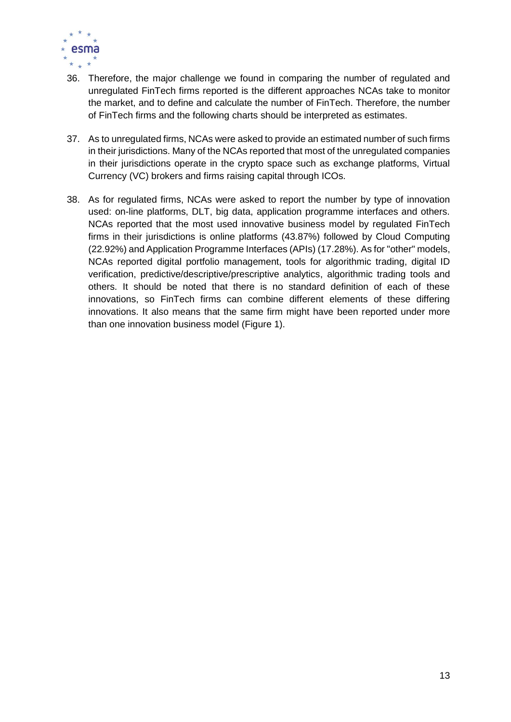

- 36. Therefore, the major challenge we found in comparing the number of regulated and unregulated FinTech firms reported is the different approaches NCAs take to monitor the market, and to define and calculate the number of FinTech. Therefore, the number of FinTech firms and the following charts should be interpreted as estimates.
- 37. As to unregulated firms, NCAs were asked to provide an estimated number of such firms in their jurisdictions. Many of the NCAs reported that most of the unregulated companies in their jurisdictions operate in the crypto space such as exchange platforms, Virtual Currency (VC) brokers and firms raising capital through ICOs.
- 38. As for regulated firms, NCAs were asked to report the number by type of innovation used: on-line platforms, DLT, big data, application programme interfaces and others. NCAs reported that the most used innovative business model by regulated FinTech firms in their jurisdictions is online platforms (43.87%) followed by Cloud Computing (22.92%) and Application Programme Interfaces (APIs) (17.28%). As for "other" models, NCAs reported digital portfolio management, tools for algorithmic trading, digital ID verification, predictive/descriptive/prescriptive analytics, algorithmic trading tools and others. It should be noted that there is no standard definition of each of these innovations, so FinTech firms can combine different elements of these differing innovations. It also means that the same firm might have been reported under more than one innovation business model (Figure 1).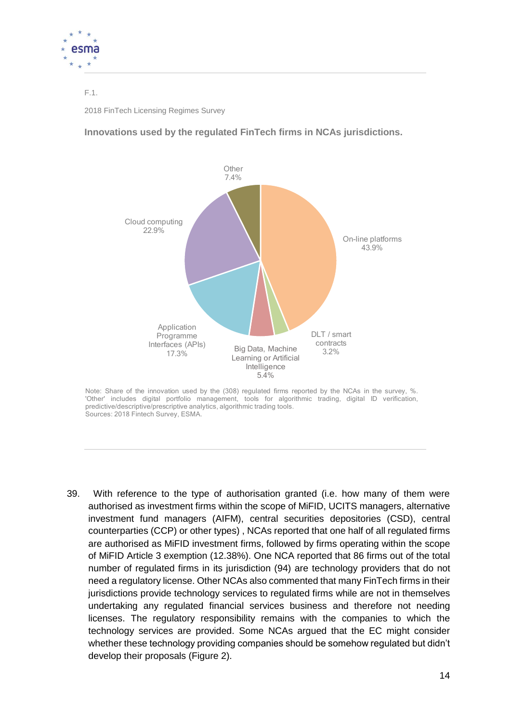

F.1. 2018 FinTech Licensing Regimes Survey

**Innovations used by the regulated FinTech firms in NCAs jurisdictions.**



Note: Share of the innovation used by the (308) regulated firms reported by the NCAs in the survey, %. 'Other' includes digital portfolio management, tools for algorithmic trading, digital ID verification, predictive/descriptive/prescriptive analytics, algorithmic trading tools. Sources: 2018 Fintech Survey, ESMA.

39. With reference to the type of authorisation granted (i.e. how many of them were authorised as investment firms within the scope of MiFID, UCITS managers, alternative investment fund managers (AIFM), central securities depositories (CSD), central counterparties (CCP) or other types) , NCAs reported that one half of all regulated firms are authorised as MiFID investment firms, followed by firms operating within the scope of MiFID Article 3 exemption (12.38%). One NCA reported that 86 firms out of the total number of regulated firms in its jurisdiction (94) are technology providers that do not need a regulatory license. Other NCAs also commented that many FinTech firms in their jurisdictions provide technology services to regulated firms while are not in themselves undertaking any regulated financial services business and therefore not needing licenses. The regulatory responsibility remains with the companies to which the technology services are provided. Some NCAs argued that the EC might consider whether these technology providing companies should be somehow regulated but didn't develop their proposals (Figure 2).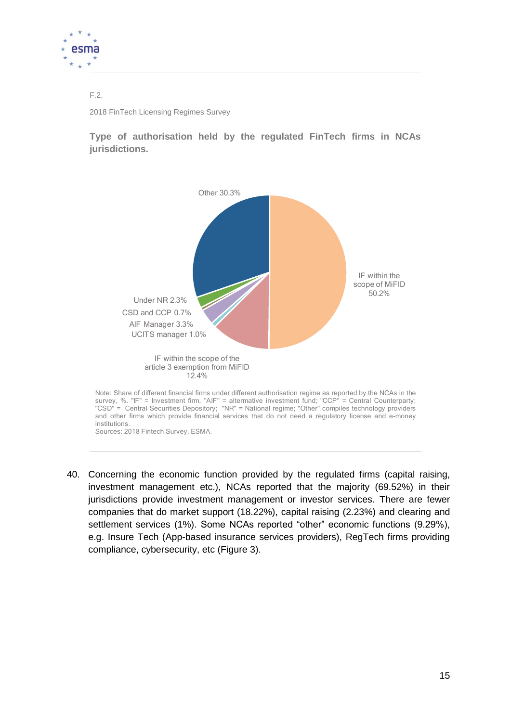

#### F.2.

2018 FinTech Licensing Regimes Survey

**Type of authorisation held by the regulated FinTech firms in NCAs jurisdictions.**



40. Concerning the economic function provided by the regulated firms (capital raising, investment management etc.), NCAs reported that the majority (69.52%) in their jurisdictions provide investment management or investor services. There are fewer companies that do market support (18.22%), capital raising (2.23%) and clearing and settlement services (1%). Some NCAs reported "other" economic functions (9.29%), e.g. Insure Tech (App-based insurance services providers), RegTech firms providing compliance, cybersecurity, etc (Figure 3).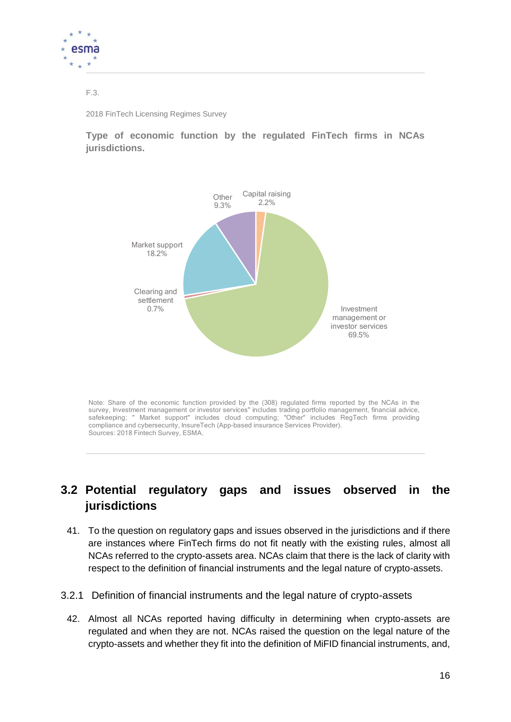

#### F.3.

2018 FinTech Licensing Regimes Survey

**Type of economic function by the regulated FinTech firms in NCAs jurisdictions.**



Note: Share of the economic function provided by the (308) regulated firms reported by the NCAs in the survey, Investment management or investor services" includes trading portfolio management, financial advice, safekeeping; " Market support" includes cloud computing; "Other" includes RegTech firms providing compliance and cybersecurity, InsureTech (App-based insurance Services Provider). Sources: 2018 Fintech Survey, ESMA.

## <span id="page-16-0"></span>**3.2 Potential regulatory gaps and issues observed in the jurisdictions**

- 41. To the question on regulatory gaps and issues observed in the jurisdictions and if there are instances where FinTech firms do not fit neatly with the existing rules, almost all NCAs referred to the crypto-assets area. NCAs claim that there is the lack of clarity with respect to the definition of financial instruments and the legal nature of crypto-assets.
- <span id="page-16-1"></span>3.2.1 Definition of financial instruments and the legal nature of crypto-assets
	- 42. Almost all NCAs reported having difficulty in determining when crypto-assets are regulated and when they are not. NCAs raised the question on the legal nature of the crypto-assets and whether they fit into the definition of MiFID financial instruments, and,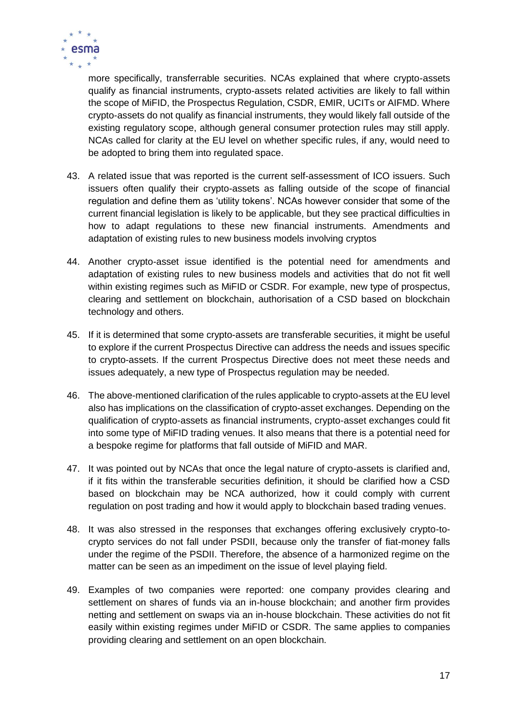

more specifically, transferrable securities. NCAs explained that where crypto-assets qualify as financial instruments, crypto-assets related activities are likely to fall within the scope of MiFID, the Prospectus Regulation, CSDR, EMIR, UCITs or AIFMD. Where crypto-assets do not qualify as financial instruments, they would likely fall outside of the existing regulatory scope, although general consumer protection rules may still apply. NCAs called for clarity at the EU level on whether specific rules, if any, would need to be adopted to bring them into regulated space.

- 43. A related issue that was reported is the current self-assessment of ICO issuers. Such issuers often qualify their crypto-assets as falling outside of the scope of financial regulation and define them as 'utility tokens'. NCAs however consider that some of the current financial legislation is likely to be applicable, but they see practical difficulties in how to adapt regulations to these new financial instruments. Amendments and adaptation of existing rules to new business models involving cryptos
- 44. Another crypto-asset issue identified is the potential need for amendments and adaptation of existing rules to new business models and activities that do not fit well within existing regimes such as MiFID or CSDR. For example, new type of prospectus, clearing and settlement on blockchain, authorisation of a CSD based on blockchain technology and others.
- 45. If it is determined that some crypto-assets are transferable securities, it might be useful to explore if the current Prospectus Directive can address the needs and issues specific to crypto-assets. If the current Prospectus Directive does not meet these needs and issues adequately, a new type of Prospectus regulation may be needed.
- 46. The above-mentioned clarification of the rules applicable to crypto-assets at the EU level also has implications on the classification of crypto-asset exchanges. Depending on the qualification of crypto-assets as financial instruments, crypto-asset exchanges could fit into some type of MiFID trading venues. It also means that there is a potential need for a bespoke regime for platforms that fall outside of MiFID and MAR.
- 47. It was pointed out by NCAs that once the legal nature of crypto-assets is clarified and, if it fits within the transferable securities definition, it should be clarified how a CSD based on blockchain may be NCA authorized, how it could comply with current regulation on post trading and how it would apply to blockchain based trading venues.
- 48. It was also stressed in the responses that exchanges offering exclusively crypto-tocrypto services do not fall under PSDII, because only the transfer of fiat-money falls under the regime of the PSDII. Therefore, the absence of a harmonized regime on the matter can be seen as an impediment on the issue of level playing field.
- 49. Examples of two companies were reported: one company provides clearing and settlement on shares of funds via an in-house blockchain; and another firm provides netting and settlement on swaps via an in-house blockchain. These activities do not fit easily within existing regimes under MiFID or CSDR. The same applies to companies providing clearing and settlement on an open blockchain.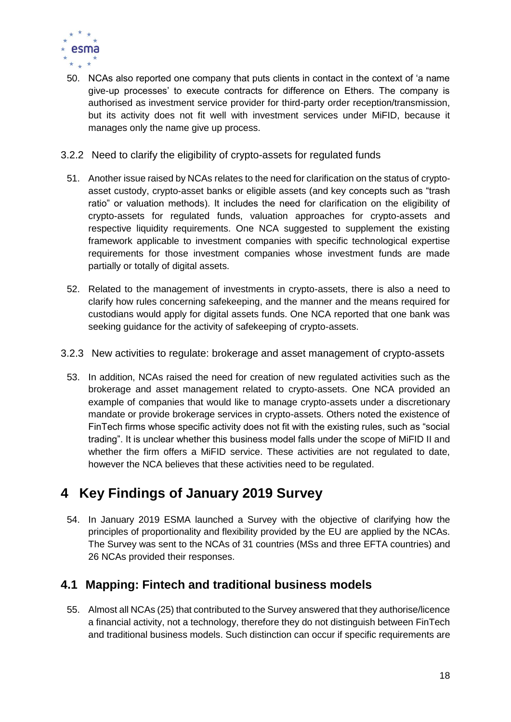

- 50. NCAs also reported one company that puts clients in contact in the context of 'a name give-up processes' to execute contracts for difference on Ethers. The company is authorised as investment service provider for third-party order reception/transmission, but its activity does not fit well with investment services under MiFID, because it manages only the name give up process.
- <span id="page-18-0"></span>3.2.2 Need to clarify the eligibility of crypto-assets for regulated funds
	- 51. Another issue raised by NCAs relates to the need for clarification on the status of cryptoasset custody, crypto-asset banks or eligible assets (and key concepts such as "trash ratio" or valuation methods). It includes the need for clarification on the eligibility of crypto-assets for regulated funds, valuation approaches for crypto-assets and respective liquidity requirements. One NCA suggested to supplement the existing framework applicable to investment companies with specific technological expertise requirements for those investment companies whose investment funds are made partially or totally of digital assets.
	- 52. Related to the management of investments in crypto-assets, there is also a need to clarify how rules concerning safekeeping, and the manner and the means required for custodians would apply for digital assets funds. One NCA reported that one bank was seeking guidance for the activity of safekeeping of crypto-assets.
- <span id="page-18-1"></span>3.2.3 New activities to regulate: brokerage and asset management of crypto-assets
	- 53. In addition, NCAs raised the need for creation of new regulated activities such as the brokerage and asset management related to crypto-assets. One NCA provided an example of companies that would like to manage crypto-assets under a discretionary mandate or provide brokerage services in crypto-assets. Others noted the existence of FinTech firms whose specific activity does not fit with the existing rules, such as "social trading". It is unclear whether this business model falls under the scope of MiFID II and whether the firm offers a MiFID service. These activities are not regulated to date, however the NCA believes that these activities need to be regulated.

# <span id="page-18-2"></span>**4 Key Findings of January 2019 Survey**

54. In January 2019 ESMA launched a Survey with the objective of clarifying how the principles of proportionality and flexibility provided by the EU are applied by the NCAs. The Survey was sent to the NCAs of 31 countries (MSs and three EFTA countries) and 26 NCAs provided their responses.

#### <span id="page-18-3"></span>**4.1 Mapping: Fintech and traditional business models**

55. Almost all NCAs (25) that contributed to the Survey answered that they authorise/licence a financial activity, not a technology, therefore they do not distinguish between FinTech and traditional business models. Such distinction can occur if specific requirements are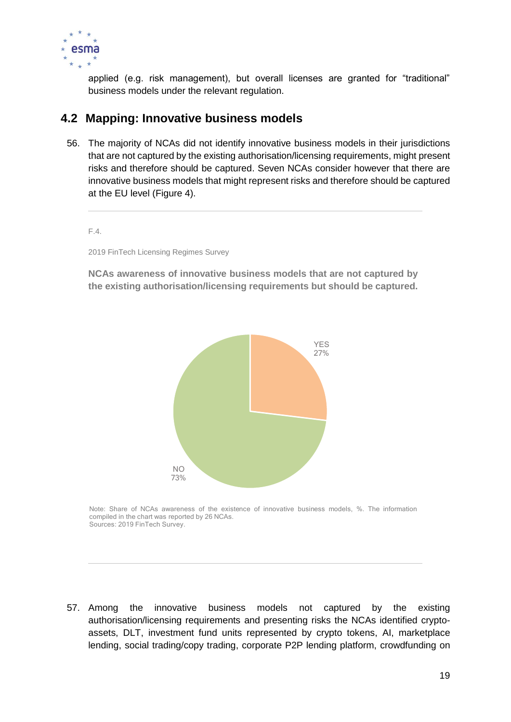

applied (e.g. risk management), but overall licenses are granted for "traditional" business models under the relevant regulation.

#### <span id="page-19-0"></span>**4.2 Mapping: Innovative business models**

56. The majority of NCAs did not identify innovative business models in their jurisdictions that are not captured by the existing authorisation/licensing requirements, might present risks and therefore should be captured. Seven NCAs consider however that there are innovative business models that might represent risks and therefore should be captured at the EU level (Figure 4).

#### F.4.

2019 FinTech Licensing Regimes Survey

**NCAs awareness of innovative business models that are not captured by the existing authorisation/licensing requirements but should be captured.**



Note: Share of NCAs awareness of the existence of innovative business models, %. The information compiled in the chart was reported by 26 NCAs. Sources: 2019 FinTech Survey.

57. Among the innovative business models not captured by the existing authorisation/licensing requirements and presenting risks the NCAs identified cryptoassets, DLT, investment fund units represented by crypto tokens, AI, marketplace lending, social trading/copy trading, corporate P2P lending platform, crowdfunding on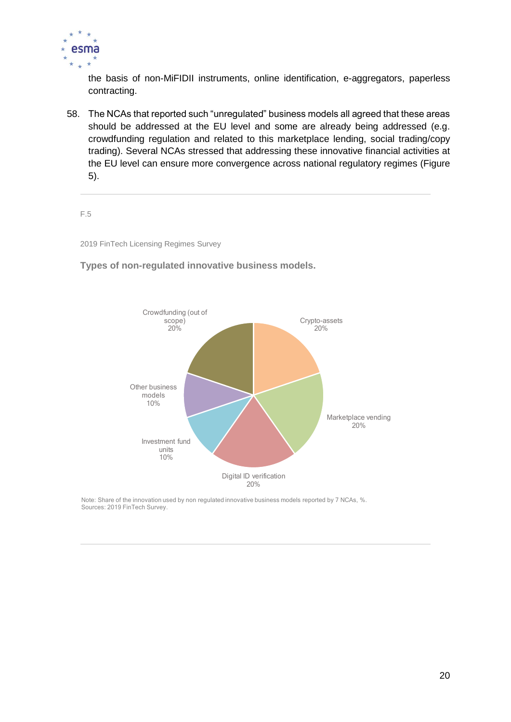

the basis of non-MiFIDII instruments, online identification, e-aggregators, paperless contracting.

58. The NCAs that reported such "unregulated" business models all agreed that these areas should be addressed at the EU level and some are already being addressed (e.g. crowdfunding regulation and related to this marketplace lending, social trading/copy trading). Several NCAs stressed that addressing these innovative financial activities at the EU level can ensure more convergence across national regulatory regimes (Figure 5).

F.5

2019 FinTech Licensing Regimes Survey

**Types of non-regulated innovative business models.**



Note: Share of the innovation used by non regulated innovative business models reported by 7 NCAs, %. Sources: 2019 FinTech Survey.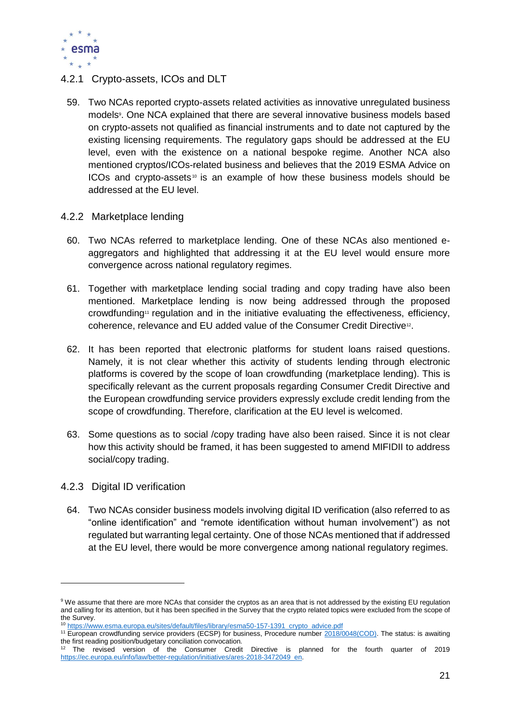

- <span id="page-21-0"></span>4.2.1 Crypto-assets, ICOs and DLT
	- 59. Two NCAs reported crypto-assets related activities as innovative unregulated business models<sup>9</sup>. One NCA explained that there are several innovative business models based on crypto-assets not qualified as financial instruments and to date not captured by the existing licensing requirements. The regulatory gaps should be addressed at the EU level, even with the existence on a national bespoke regime. Another NCA also mentioned cryptos/ICOs-related business and believes that the 2019 ESMA Advice on ICOs and crypto-assets<sup> $10$ </sup> is an example of how these business models should be addressed at the EU level.
- <span id="page-21-1"></span>4.2.2 Marketplace lending
	- 60. Two NCAs referred to marketplace lending. One of these NCAs also mentioned eaggregators and highlighted that addressing it at the EU level would ensure more convergence across national regulatory regimes.
	- 61. Together with marketplace lending social trading and copy trading have also been mentioned. Marketplace lending is now being addressed through the proposed crowdfunding<sup>11</sup> regulation and in the initiative evaluating the effectiveness, efficiency, coherence, relevance and EU added value of the Consumer Credit Directive<sup>12</sup>.
	- 62. It has been reported that electronic platforms for student loans raised questions. Namely, it is not clear whether this activity of students lending through electronic platforms is covered by the scope of loan crowdfunding (marketplace lending). This is specifically relevant as the current proposals regarding Consumer Credit Directive and the European crowdfunding service providers expressly exclude credit lending from the scope of crowdfunding. Therefore, clarification at the EU level is welcomed.
	- 63. Some questions as to social /copy trading have also been raised. Since it is not clear how this activity should be framed, it has been suggested to amend MIFIDII to address social/copy trading.
- <span id="page-21-2"></span>4.2.3 Digital ID verification

-

64. Two NCAs consider business models involving digital ID verification (also referred to as "online identification" and "remote identification without human involvement") as not regulated but warranting legal certainty. One of those NCAs mentioned that if addressed at the EU level, there would be more convergence among national regulatory regimes.

<sup>9</sup> We assume that there are more NCAs that consider the cryptos as an area that is not addressed by the existing EU regulation and calling for its attention, but it has been specified in the Survey that the crypto related topics were excluded from the scope of the Survey.

<sup>10</sup> [https://www.esma.europa.eu/sites/default/files/library/esma50-157-1391\\_crypto\\_advice.pdf](https://www.esma.europa.eu/sites/default/files/library/esma50-157-1391_crypto_advice.pdf)

<sup>&</sup>lt;sup>11</sup> European crowdfunding service providers (ECSP) for business, Procedure number [2018/0048\(COD\).](https://oeil.secure.europarl.europa.eu/oeil/popups/ficheprocedure.do?reference=2018/0048(COD)&l=en) The status: is awaiting the first reading position/budgetary conciliation convocation.

The revised version of the Consumer Credit Directive is planned for the fourth quarter of 2019 [https://ec.europa.eu/info/law/better-regulation/initiatives/ares-2018-3472049\\_en.](https://ec.europa.eu/info/law/better-regulation/initiatives/ares-2018-3472049_en)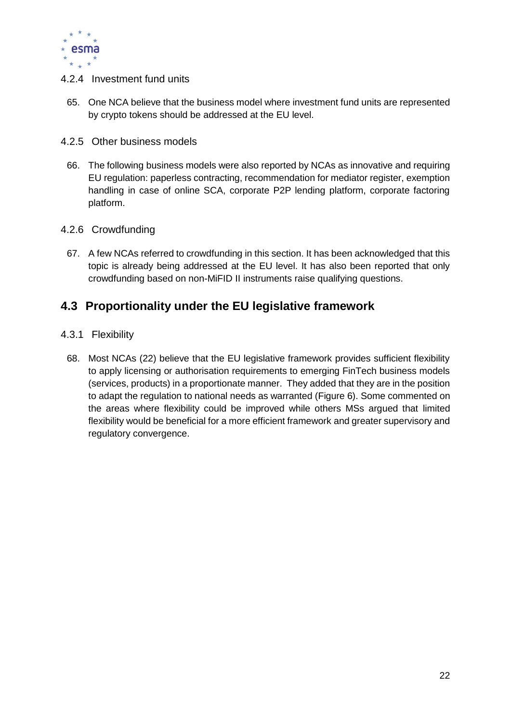

- <span id="page-22-0"></span>4.2.4 Investment fund units
	- 65. One NCA believe that the business model where investment fund units are represented by crypto tokens should be addressed at the EU level.
- <span id="page-22-1"></span>4.2.5 Other business models
	- 66. The following business models were also reported by NCAs as innovative and requiring EU regulation: paperless contracting, recommendation for mediator register, exemption handling in case of online SCA, corporate P2P lending platform, corporate factoring platform.
- <span id="page-22-2"></span>4.2.6 Crowdfunding
	- 67. A few NCAs referred to crowdfunding in this section. It has been acknowledged that this topic is already being addressed at the EU level. It has also been reported that only crowdfunding based on non-MiFID II instruments raise qualifying questions.

#### <span id="page-22-3"></span>**4.3 Proportionality under the EU legislative framework**

- <span id="page-22-4"></span>4.3.1 Flexibility
	- 68. Most NCAs (22) believe that the EU legislative framework provides sufficient flexibility to apply licensing or authorisation requirements to emerging FinTech business models (services, products) in a proportionate manner. They added that they are in the position to adapt the regulation to national needs as warranted (Figure 6). Some commented on the areas where flexibility could be improved while others MSs argued that limited flexibility would be beneficial for a more efficient framework and greater supervisory and regulatory convergence.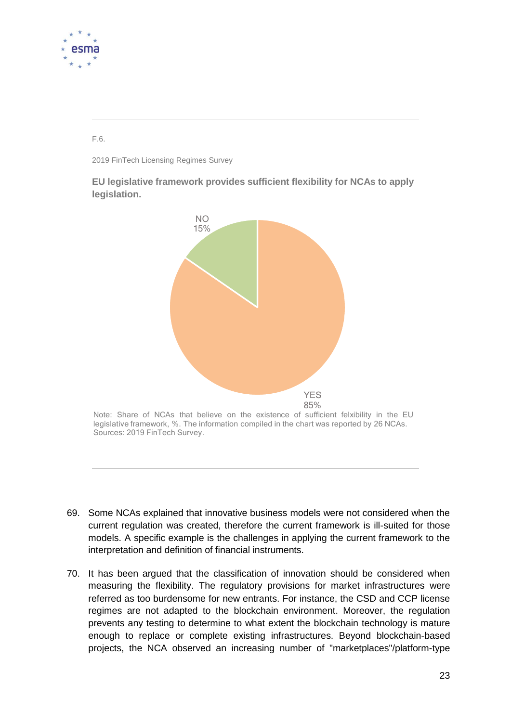

F.6.

2019 FinTech Licensing Regimes Survey

**EU legislative framework provides sufficient flexibility for NCAs to apply legislation.**



Note: Share of NCAs that believe on the existence of sufficient felxibility in the EU legislative framework, %. The information compiled in the chart was reported by 26 NCAs. Sources: 2019 FinTech Survey.

- 69. Some NCAs explained that innovative business models were not considered when the current regulation was created, therefore the current framework is ill-suited for those models. A specific example is the challenges in applying the current framework to the interpretation and definition of financial instruments.
- 70. It has been argued that the classification of innovation should be considered when measuring the flexibility. The regulatory provisions for market infrastructures were referred as too burdensome for new entrants. For instance, the CSD and CCP license regimes are not adapted to the blockchain environment. Moreover, the regulation prevents any testing to determine to what extent the blockchain technology is mature enough to replace or complete existing infrastructures. Beyond blockchain-based projects, the NCA observed an increasing number of "marketplaces"/platform-type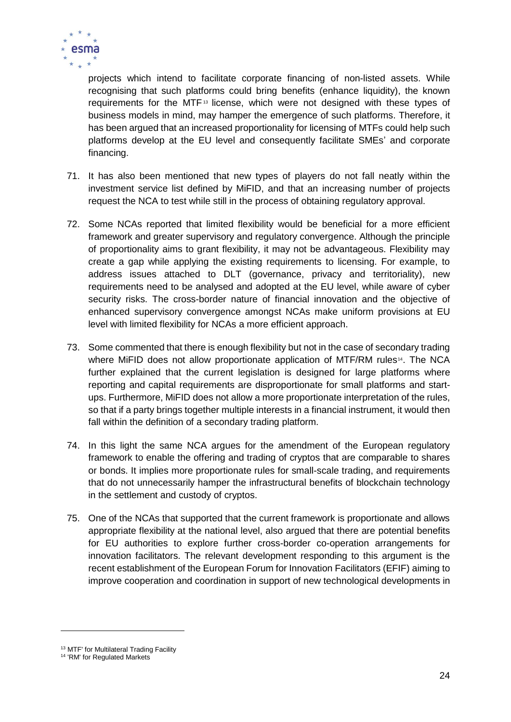

projects which intend to facilitate corporate financing of non-listed assets. While recognising that such platforms could bring benefits (enhance liquidity), the known requirements for the MTF<sup>13</sup> license, which were not designed with these types of business models in mind, may hamper the emergence of such platforms. Therefore, it has been argued that an increased proportionality for licensing of MTFs could help such platforms develop at the EU level and consequently facilitate SMEs' and corporate financing.

- 71. It has also been mentioned that new types of players do not fall neatly within the investment service list defined by MiFID, and that an increasing number of projects request the NCA to test while still in the process of obtaining regulatory approval.
- 72. Some NCAs reported that limited flexibility would be beneficial for a more efficient framework and greater supervisory and regulatory convergence. Although the principle of proportionality aims to grant flexibility, it may not be advantageous. Flexibility may create a gap while applying the existing requirements to licensing. For example, to address issues attached to DLT (governance, privacy and territoriality), new requirements need to be analysed and adopted at the EU level, while aware of cyber security risks. The cross-border nature of financial innovation and the objective of enhanced supervisory convergence amongst NCAs make uniform provisions at EU level with limited flexibility for NCAs a more efficient approach.
- 73. Some commented that there is enough flexibility but not in the case of secondary trading where MiFID does not allow proportionate application of MTF/RM rules<sup>14</sup>. The NCA further explained that the current legislation is designed for large platforms where reporting and capital requirements are disproportionate for small platforms and startups. Furthermore, MiFID does not allow a more proportionate interpretation of the rules, so that if a party brings together multiple interests in a financial instrument, it would then fall within the definition of a secondary trading platform.
- 74. In this light the same NCA argues for the amendment of the European regulatory framework to enable the offering and trading of cryptos that are comparable to shares or bonds. It implies more proportionate rules for small-scale trading, and requirements that do not unnecessarily hamper the infrastructural benefits of blockchain technology in the settlement and custody of cryptos.
- 75. One of the NCAs that supported that the current framework is proportionate and allows appropriate flexibility at the national level, also argued that there are potential benefits for EU authorities to explore further cross-border co-operation arrangements for innovation facilitators. The relevant development responding to this argument is the recent establishment of the European Forum for Innovation Facilitators (EFIF) aiming to improve cooperation and coordination in support of new technological developments in

-

<sup>&</sup>lt;sup>13</sup> MTF' for Multilateral Trading Facility

<sup>&</sup>lt;sup>14</sup> 'RM' for Regulated Markets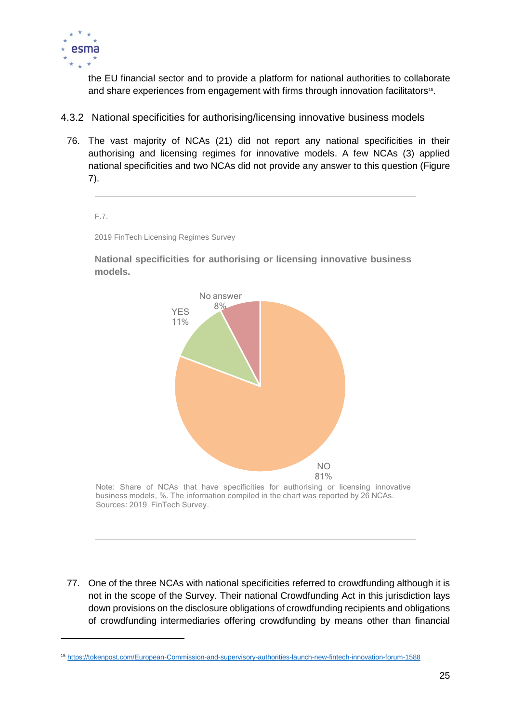

1

the EU financial sector and to provide a platform for national authorities to collaborate and share experiences from engagement with firms through innovation facilitators<sup>15</sup>.

- <span id="page-25-0"></span>4.3.2 National specificities for authorising/licensing innovative business models
	- 76. The vast majority of NCAs (21) did not report any national specificities in their authorising and licensing regimes for innovative models. A few NCAs (3) applied national specificities and two NCAs did not provide any answer to this question (Figure 7).

F.7.

2019 FinTech Licensing Regimes Survey

**National specificities for authorising or licensing innovative business models.**



Note: Share of NCAs that have specificities for authorising or licensing innovative business models, %. The information compiled in the chart was reported by 26 NCAs. Sources: 2019 FinTech Survey.

77. One of the three NCAs with national specificities referred to crowdfunding although it is not in the scope of the Survey. Their national Crowdfunding Act in this jurisdiction lays down provisions on the disclosure obligations of crowdfunding recipients and obligations of crowdfunding intermediaries offering crowdfunding by means other than financial

<sup>15</sup> <https://tokenpost.com/European-Commission-and-supervisory-authorities-launch-new-fintech-innovation-forum-1588>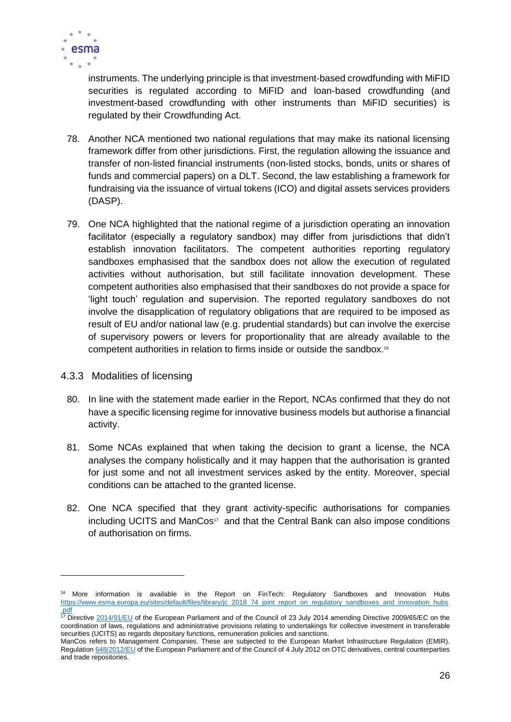

instruments. The underlying principle is that investment-based crowdfunding with MiFID securities is regulated according to MiFID and loan-based crowdfunding (and investment-based crowdfunding with other instruments than MiFID securities) is regulated by their Crowdfunding Act.

- 78. Another NCA mentioned two national regulations that may make its national licensing framework differ from other jurisdictions. First, the regulation allowing the issuance and transfer of non-listed financial instruments (non-listed stocks, bonds, units or shares of funds and commercial papers) on a DLT. Second, the law establishing a framework for fundraising via the issuance of virtual tokens (ICO) and digital assets services providers (DASP).
- 79. One NCA highlighted that the national regime of a jurisdiction operating an innovation facilitator (especially a regulatory sandbox) may differ from jurisdictions that didn't establish innovation facilitators. The competent authorities reporting regulatory sandboxes emphasised that the sandbox does not allow the execution of regulated activities without authorisation, but still facilitate innovation development. These competent authorities also emphasised that their sandboxes do not provide a space for 'light touch' regulation and supervision. The reported regulatory sandboxes do not involve the disapplication of regulatory obligations that are required to be imposed as result of EU and/or national law (e.g. prudential standards) but can involve the exercise of supervisory powers or levers for proportionality that are already available to the competent authorities in relation to firms inside or outside the sandbox. 16
- <span id="page-26-0"></span>4.3.3 Modalities of licensing

-

- 80. In line with the statement made earlier in the Report, NCAs confirmed that they do not have a specific licensing regime for innovative business models but authorise a financial activity.
- 81. Some NCAs explained that when taking the decision to grant a license, the NCA analyses the company holistically and it may happen that the authorisation is granted for just some and not all investment services asked by the entity. Moreover, special conditions can be attached to the granted license.
- 82. One NCA specified that they grant activity-specific authorisations for companies including UCITS and ManCos<sup>17</sup> and that the Central Bank can also impose conditions of authorisation on firms.

<sup>&</sup>lt;sup>16</sup> More information is available in the Report on FinTech: Regulatory Sandboxes and Innovation Hubs [https://www.esma.europa.eu/sites/default/files/library/jc\\_2018\\_74\\_joint\\_report\\_on\\_regulatory\\_sandboxes\\_and\\_innovation\\_hubs](https://www.esma.europa.eu/sites/default/files/library/jc_2018_74_joint_report_on_regulatory_sandboxes_and_innovation_hubs.pdf) [.pdf](https://www.esma.europa.eu/sites/default/files/library/jc_2018_74_joint_report_on_regulatory_sandboxes_and_innovation_hubs.pdf)

<sup>&</sup>lt;sup>17</sup> Directive  $2014/91/EU$  of the European Parliament and of the Council of 23 July 2014 amending Directive 2009/65/EC on the coordination of laws, regulations and administrative provisions relating to undertakings for collective investment in transferable securities (UCITS) as regards depositary functions, remuneration policies and sanctions.

ManCos refers to Management Companies. These are subjected to the European Market Infrastructure Regulation (EMIR). Regulatio[n 648/2012/EU](https://eur-lex.europa.eu/legal-content/EN/ALL/?uri=CELEX%3A32012R0648) of the European Parliament and of the Council of 4 July 2012 on OTC derivatives, central counterparties and trade repositories.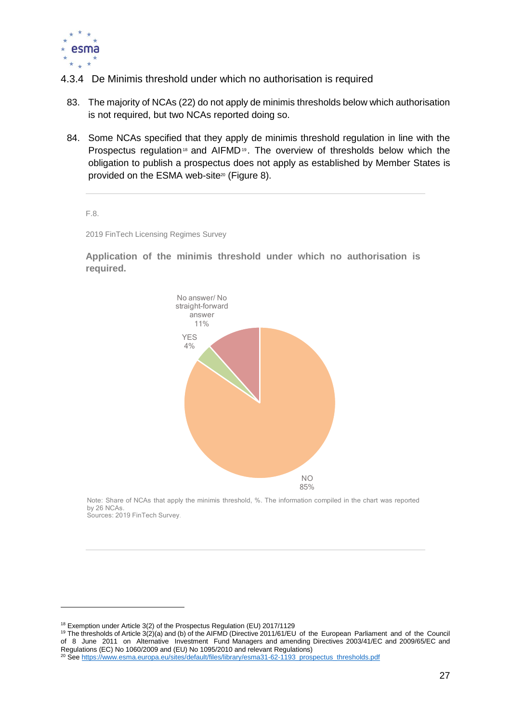

- <span id="page-27-0"></span>4.3.4 De Minimis threshold under which no authorisation is required
	- 83. The majority of NCAs (22) do not apply de minimis thresholds below which authorisation is not required, but two NCAs reported doing so.
	- 84. Some NCAs specified that they apply de minimis threshold regulation in line with the Prospectus regulation<sup>18</sup> and AIFMD<sup>19</sup>. The overview of thresholds below which the obligation to publish a prospectus does not apply as established by Member States is provided on the ESMA web-site<sup>20</sup> (Figure 8).

F.8.

1

2019 FinTech Licensing Regimes Survey

**Application of the minimis threshold under which no authorisation is required.**



Note: Share of NCAs that apply the minimis threshold, %. The information compiled in the chart was reported by 26 NCAs. Sources: 2019 FinTech Survey.

<sup>19</sup> The thresholds of Article 3(2)(a) and (b) of the AIFMD (Directive 2011/61/EU of the European Parliament and of the Council of 8 June 2011 on Alternative Investment Fund Managers and amending Directives 2003/41/EC and 2009/65/EC and Regulations (EC) No 1060/2009 and (EU) No 1095/2010 and relevant Regulations)

<sup>18</sup> Exemption under Article 3(2) of the Prospectus Regulation (EU) 2017/1129

<sup>&</sup>lt;sup>20</sup> See [https://www.esma.europa.eu/sites/default/files/library/esma31-62-1193\\_prospectus\\_thresholds.pdf](https://www.esma.europa.eu/sites/default/files/library/esma31-62-1193_prospectus_thresholds.pdf)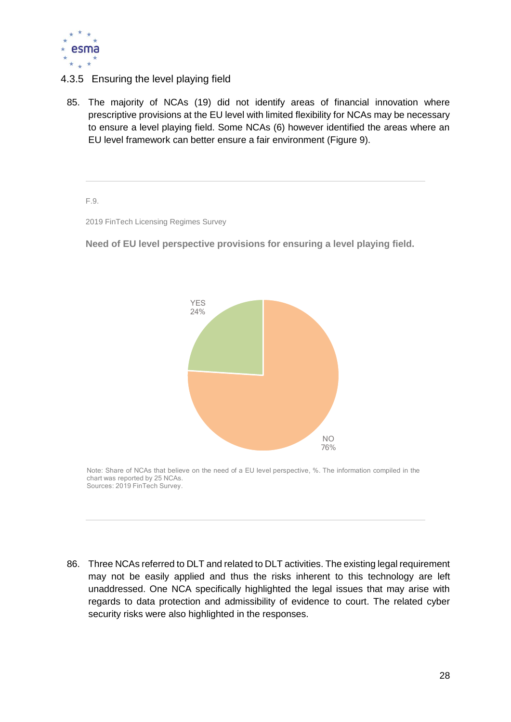

#### <span id="page-28-0"></span>4.3.5 Ensuring the level playing field

85. The majority of NCAs (19) did not identify areas of financial innovation where prescriptive provisions at the EU level with limited flexibility for NCAs may be necessary to ensure a level playing field. Some NCAs (6) however identified the areas where an EU level framework can better ensure a fair environment (Figure 9).

F.9.

2019 FinTech Licensing Regimes Survey

**Need of EU level perspective provisions for ensuring a level playing field.**



Note: Share of NCAs that believe on the need of a EU level perspective, %. The information compiled in the chart was reported by 25 NCAs. Sources: 2019 FinTech Survey.

86. Three NCAs referred to DLT and related to DLT activities. The existing legal requirement may not be easily applied and thus the risks inherent to this technology are left unaddressed. One NCA specifically highlighted the legal issues that may arise with regards to data protection and admissibility of evidence to court. The related cyber security risks were also highlighted in the responses.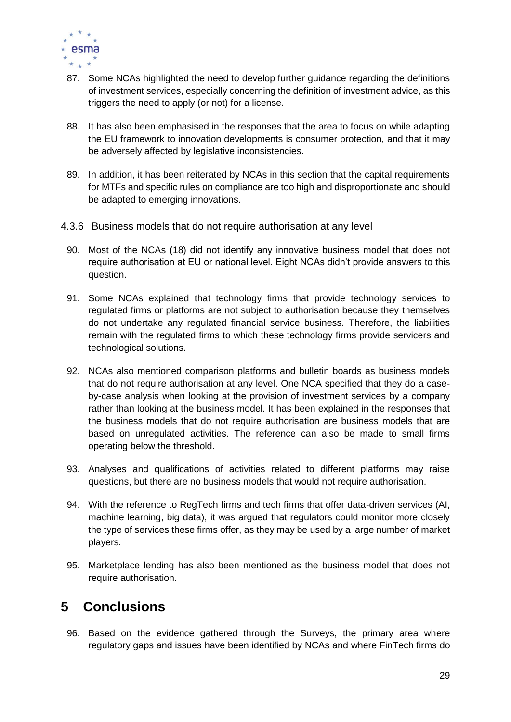

- 87. Some NCAs highlighted the need to develop further guidance regarding the definitions of investment services, especially concerning the definition of investment advice, as this triggers the need to apply (or not) for a license.
- 88. It has also been emphasised in the responses that the area to focus on while adapting the EU framework to innovation developments is consumer protection, and that it may be adversely affected by legislative inconsistencies.
- 89. In addition, it has been reiterated by NCAs in this section that the capital requirements for MTFs and specific rules on compliance are too high and disproportionate and should be adapted to emerging innovations.
- <span id="page-29-0"></span>4.3.6 Business models that do not require authorisation at any level
- 90. Most of the NCAs (18) did not identify any innovative business model that does not require authorisation at EU or national level. Eight NCAs didn't provide answers to this question.
- 91. Some NCAs explained that technology firms that provide technology services to regulated firms or platforms are not subject to authorisation because they themselves do not undertake any regulated financial service business. Therefore, the liabilities remain with the regulated firms to which these technology firms provide servicers and technological solutions.
- 92. NCAs also mentioned comparison platforms and bulletin boards as business models that do not require authorisation at any level. One NCA specified that they do a caseby-case analysis when looking at the provision of investment services by a company rather than looking at the business model. It has been explained in the responses that the business models that do not require authorisation are business models that are based on unregulated activities. The reference can also be made to small firms operating below the threshold.
- 93. Analyses and qualifications of activities related to different platforms may raise questions, but there are no business models that would not require authorisation.
- 94. With the reference to RegTech firms and tech firms that offer data-driven services (AI, machine learning, big data), it was argued that regulators could monitor more closely the type of services these firms offer, as they may be used by a large number of market players.
- 95. Marketplace lending has also been mentioned as the business model that does not require authorisation.

# <span id="page-29-1"></span>**5 Conclusions**

96. Based on the evidence gathered through the Surveys, the primary area where regulatory gaps and issues have been identified by NCAs and where FinTech firms do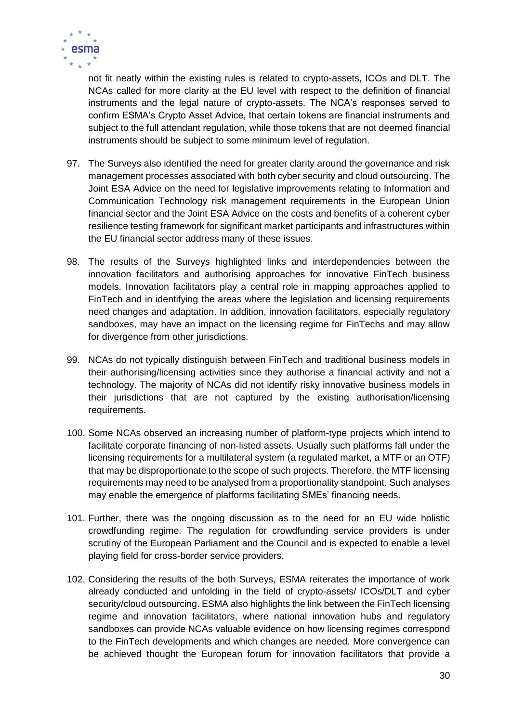

not fit neatly within the existing rules is related to crypto-assets, ICOs and DLT. The NCAs called for more clarity at the EU level with respect to the definition of financial instruments and the legal nature of crypto-assets. The NCA's responses served to confirm ESMA's Crypto Asset Advice, that certain tokens are financial instruments and subject to the full attendant regulation, while those tokens that are not deemed financial instruments should be subject to some minimum level of regulation.

- 97. The Surveys also identified the need for greater clarity around the governance and risk management processes associated with both cyber security and cloud outsourcing. The Joint ESA Advice on the need for legislative improvements relating to Information and Communication Technology risk management requirements in the European Union financial sector and the Joint ESA Advice on the costs and benefits of a coherent cyber resilience testing framework for significant market participants and infrastructures within the EU financial sector address many of these issues.
- 98. The results of the Surveys highlighted links and interdependencies between the innovation facilitators and authorising approaches for innovative FinTech business models. Innovation facilitators play a central role in mapping approaches applied to FinTech and in identifying the areas where the legislation and licensing requirements need changes and adaptation. In addition, innovation facilitators, especially regulatory sandboxes, may have an impact on the licensing regime for FinTechs and may allow for divergence from other jurisdictions.
- 99. NCAs do not typically distinguish between FinTech and traditional business models in their authorising/licensing activities since they authorise a financial activity and not a technology. The majority of NCAs did not identify risky innovative business models in their jurisdictions that are not captured by the existing authorisation/licensing requirements.
- 100. Some NCAs observed an increasing number of platform-type projects which intend to facilitate corporate financing of non-listed assets. Usually such platforms fall under the licensing requirements for a multilateral system (a regulated market, a MTF or an OTF) that may be disproportionate to the scope of such projects. Therefore, the MTF licensing requirements may need to be analysed from a proportionality standpoint. Such analyses may enable the emergence of platforms facilitating SMEs' financing needs.
- 101. Further, there was the ongoing discussion as to the need for an EU wide holistic crowdfunding regime. The regulation for crowdfunding service providers is under scrutiny of the European Parliament and the Council and is expected to enable a level playing field for cross-border service providers.
- 102. Considering the results of the both Surveys, ESMA reiterates the importance of work already conducted and unfolding in the field of crypto-assets/ ICOs/DLT and cyber security/cloud outsourcing. ESMA also highlights the link between the FinTech licensing regime and innovation facilitators, where national innovation hubs and regulatory sandboxes can provide NCAs valuable evidence on how licensing regimes correspond to the FinTech developments and which changes are needed. More convergence can be achieved thought the European forum for innovation facilitators that provide a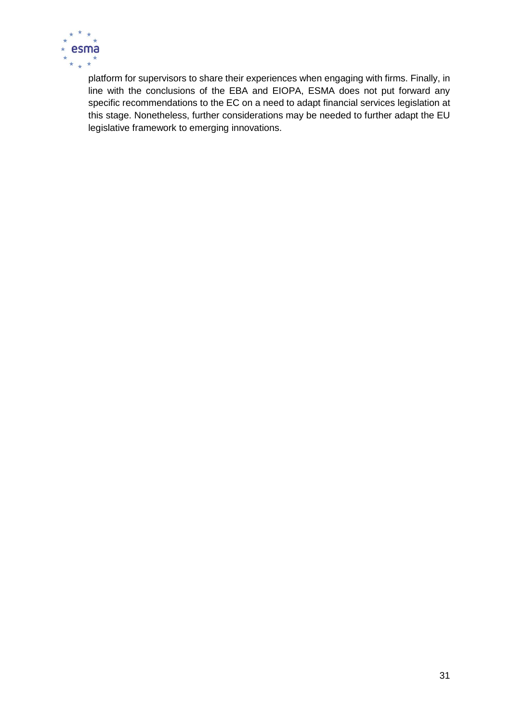

platform for supervisors to share their experiences when engaging with firms. Finally, in line with the conclusions of the EBA and EIOPA, ESMA does not put forward any specific recommendations to the EC on a need to adapt financial services legislation at this stage. Nonetheless, further considerations may be needed to further adapt the EU legislative framework to emerging innovations.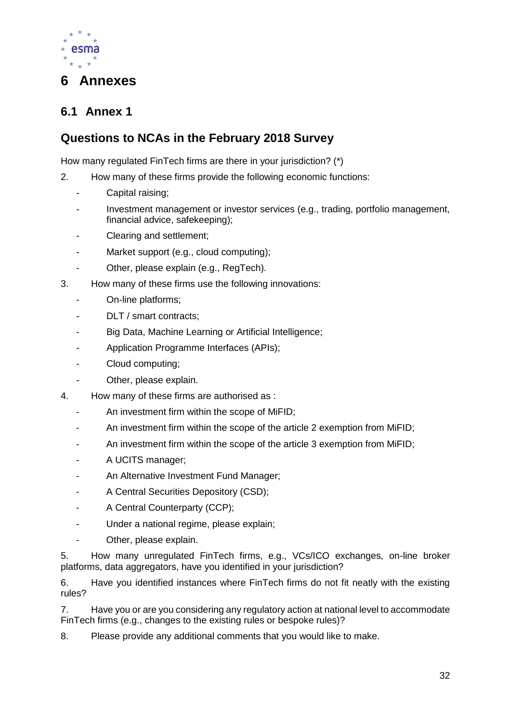

## <span id="page-32-0"></span>**6 Annexes**

## <span id="page-32-1"></span>**6.1 Annex 1**

#### **Questions to NCAs in the February 2018 Survey**

How many regulated FinTech firms are there in your jurisdiction? (\*)

- 2. How many of these firms provide the following economic functions:
	- Capital raising:
	- Investment management or investor services (e.g., trading, portfolio management, financial advice, safekeeping);
	- Clearing and settlement;
	- Market support (e.g., cloud computing);
	- Other, please explain (e.g., RegTech).
- 3. How many of these firms use the following innovations:
	- On-line platforms;
	- DLT / smart contracts:
	- Big Data, Machine Learning or Artificial Intelligence;
	- Application Programme Interfaces (APIs);
	- Cloud computing;
	- Other, please explain.
- 4. How many of these firms are authorised as :
	- An investment firm within the scope of MiFID;
	- An investment firm within the scope of the article 2 exemption from MiFID;
	- An investment firm within the scope of the article 3 exemption from MiFID;
	- A UCITS manager;
	- An Alternative Investment Fund Manager;
	- A Central Securities Depository (CSD);
	- A Central Counterparty (CCP);
	- Under a national regime, please explain;
	- Other, please explain.

5. How many unregulated FinTech firms, e.g., VCs/ICO exchanges, on-line broker platforms, data aggregators, have you identified in your jurisdiction?

6. Have you identified instances where FinTech firms do not fit neatly with the existing rules?

7. Have you or are you considering any regulatory action at national level to accommodate FinTech firms (e.g., changes to the existing rules or bespoke rules)?

8. Please provide any additional comments that you would like to make.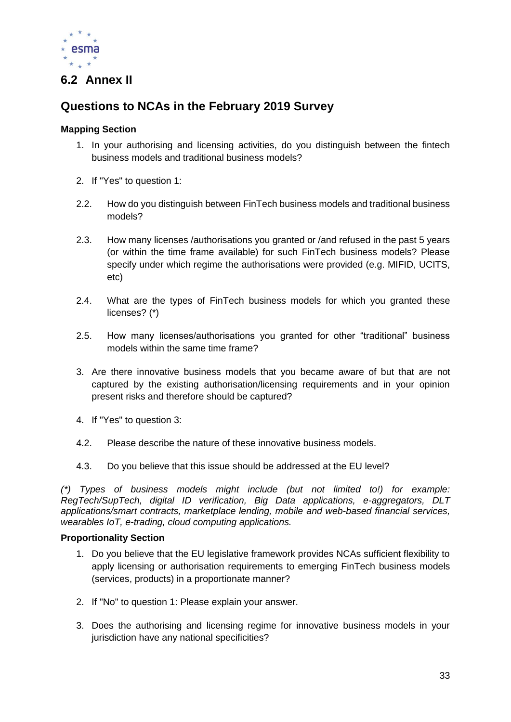

### <span id="page-33-0"></span>**6.2 Annex II**

## **Questions to NCAs in the February 2019 Survey**

#### **Mapping Section**

- 1. In your authorising and licensing activities, do you distinguish between the fintech business models and traditional business models?
- 2. If "Yes" to question 1:
- 2.2. How do you distinguish between FinTech business models and traditional business models?
- 2.3. How many licenses /authorisations you granted or /and refused in the past 5 years (or within the time frame available) for such FinTech business models? Please specify under which regime the authorisations were provided (e.g. MIFID, UCITS, etc)
- 2.4. What are the types of FinTech business models for which you granted these licenses? (\*)
- 2.5. How many licenses/authorisations you granted for other "traditional" business models within the same time frame?
- 3. Are there innovative business models that you became aware of but that are not captured by the existing authorisation/licensing requirements and in your opinion present risks and therefore should be captured?
- 4. If "Yes" to question 3:
- 4.2. Please describe the nature of these innovative business models.
- 4.3. Do you believe that this issue should be addressed at the EU level?

*(\*) Types of business models might include (but not limited to!) for example: RegTech/SupTech, digital ID verification, Big Data applications, e-aggregators, DLT applications/smart contracts, marketplace lending, mobile and web-based financial services, wearables IoT, e-trading, cloud computing applications.*

#### **Proportionality Section**

- 1. Do you believe that the EU legislative framework provides NCAs sufficient flexibility to apply licensing or authorisation requirements to emerging FinTech business models (services, products) in a proportionate manner?
- 2. If "No" to question 1: Please explain your answer.
- 3. Does the authorising and licensing regime for innovative business models in your jurisdiction have any national specificities?